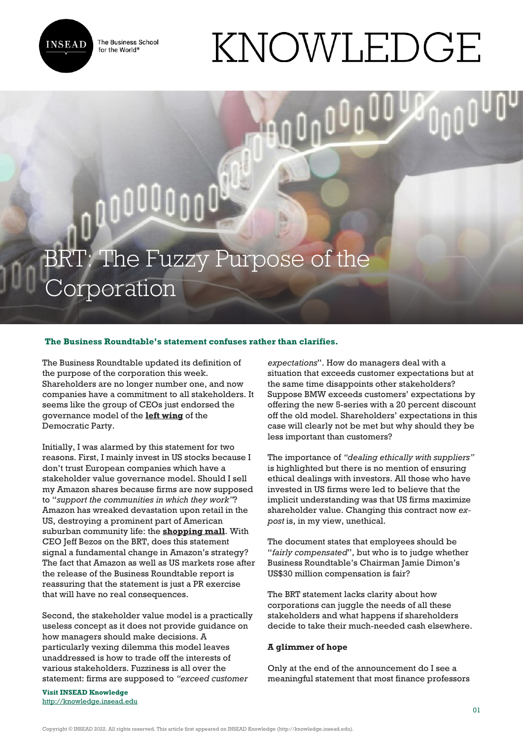

The Business School for the World<sup>®</sup>

## KNOWLEDGE

BRT: The Fuzzy Purpose of the orporation

## **The Business Roundtable's statement confuses rather than clarifies.**

The Business Roundtable updated its definition of the purpose of the corporation this week. Shareholders are no longer number one, and now companies have a commitment to all stakeholders. It seems like the group of CEOs just endorsed the governance model of the **[left wing](https://www.ft.com/content/e21a9fac-c1f5-11e9-a8e9-296ca66511c9?segmentId=080b04f5-af92-ae6f-0513-095d44fb3577)** of the Democratic Party.

0000000

Initially, I was alarmed by this statement for two reasons. First, I mainly invest in US stocks because I don't trust European companies which have a stakeholder value governance model. Should I sell my Amazon shares because firms are now supposed to "*support the communities in which they work"*? Amazon has wreaked devastation upon retail in the US, destroying a prominent part of American suburban community life: the **[shopping mall](https://www.forbes.com/sites/panosmourdoukoutas/2019/05/25/amazon-turns-shopping-malls-into-warehouses-changing-americas-community-landscape/#6aa35a5f65f4)**. With CEO Jeff Bezos on the BRT, does this statement signal a fundamental change in Amazon's strategy? The fact that Amazon as well as US markets rose after the release of the Business Roundtable report is reassuring that the statement is just a PR exercise that will have no real consequences.

Second, the stakeholder value model is a practically useless concept as it does not provide guidance on how managers should make decisions. A particularly vexing dilemma this model leaves unaddressed is how to trade off the interests of various stakeholders. Fuzziness is all over the statement: firms are supposed to *"exceed customer*

**Visit INSEAD Knowledge** <http://knowledge.insead.edu>

*expectations*". How do managers deal with a situation that exceeds customer expectations but at the same time disappoints other stakeholders? Suppose BMW exceeds customers' expectations by offering the new 5-series with a 20 percent discount off the old model. Shareholders' expectations in this case will clearly not be met but why should they be less important than customers?

The importance of *"dealing ethically with suppliers"* is highlighted but there is no mention of ensuring ethical dealings with investors. All those who have invested in US firms were led to believe that the implicit understanding was that US firms maximize shareholder value. Changing this contract now *expost* is, in my view, unethical.

The document states that employees should be "*fairly compensated*", but who is to judge whether Business Roundtable's Chairman Jamie Dimon's US\$30 million compensation is fair?

The BRT statement lacks clarity about how corporations can juggle the needs of all these stakeholders and what happens if shareholders decide to take their much-needed cash elsewhere.

## **A glimmer of hope**

Only at the end of the announcement do I see a meaningful statement that most finance professors

Copyright © INSEAD 2022. All rights reserved. This article first appeared on INSEAD Knowledge (http://knowledge.insead.edu).